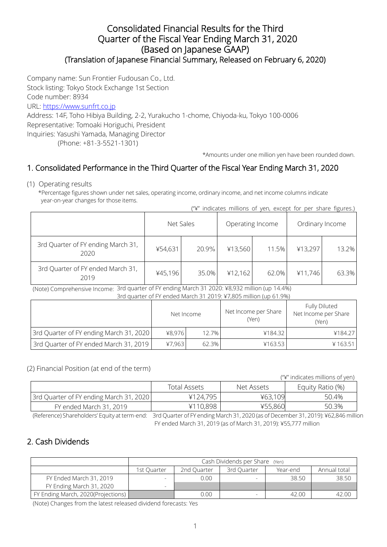### Consolidated Financial Results for the Third Quarter of the Fiscal Year Ending March 31, 2020 (Based on Japanese GAAP) (Translation of Japanese Financial Summary, Released on February 6, 2020)

Company name: Sun Frontier Fudousan Co., Ltd.

Stock listing: Tokyo Stock Exchange 1st Section

Code number: 8934

URL: [https://www.sunfrt.co.jp](https://www.sunfrt.co.jp/)

Address: 14F, Toho Hibiya Building, 2-2, Yurakucho 1-chome, Chiyoda-ku, Tokyo 100-0006 Representative: Tomoaki Horiguchi, President Inquiries: Yasushi Yamada, Managing Director

(Phone: +81-3-5521-1301)

\*Amounts under one million yen have been rounded down.

# 1. Consolidated Performance in the Third Quarter of the Fiscal Year Ending March 31, 2020

(1) Operating results

\*Percentage figures shown under net sales, operating income, ordinary income, and net income columns indicate year-on-year changes for those items.

| ("\" indicates millions of yen, except for per share figures.) |  |  |  |  |  |
|----------------------------------------------------------------|--|--|--|--|--|

|                                            | Net Sales        |       |         | Operating Income | Ordinary Income |       |  |
|--------------------------------------------|------------------|-------|---------|------------------|-----------------|-------|--|
| 3rd Quarter of FY ending March 31,<br>2020 | 20.9%<br>¥54,631 |       | ¥13,560 | 11.5%            | ¥13,297         | 13.2% |  |
| 3rd Quarter of FY ended March 31,<br>2019  | ¥45,196          | 35.0% | ¥12,162 | 62.0%            | ¥11,746         | 63.3% |  |

 (Note) Comprehensive Income: 3rd quarter of FY ending March 31 2020: ¥8,932 million (up 14.4%) 3rd quarter of FY ended March 31 2019: ¥7,805 million (up 61.9%)

|                                         | Net Income |       | Net Income per Share<br>(Yen) | Fully Diluted<br>Net Income per Share<br>(Yen) |  |
|-----------------------------------------|------------|-------|-------------------------------|------------------------------------------------|--|
| 3rd Quarter of FY ending March 31, 2020 | 48.976     | 12.7% | ¥184.32                       | ¥184.27                                        |  |
| 3rd Quarter of FY ended March 31, 2019  | 47.963     | 62.3% | ¥163.53                       | ¥163.51                                        |  |

#### (2) Financial Position (at end of the term)

("¥" indicates millions of yen)

|                                         | Total Assets | Net Assets | Equity Ratio (%) |  |
|-----------------------------------------|--------------|------------|------------------|--|
| 3rd Quarter of FY ending March 31, 2020 | ¥124,795     | ¥63,109    | 50.4%            |  |
| FY ended March 31, 2019                 | ¥110,898     | ¥55,860    | 50.3%            |  |

(Reference) Shareholders' Equity at term-end: 3rd Quarter of FY ending March 31, 2020 (as of December 31, 2019): ¥62,846 million FY ended March 31, 2019 (as of March 31, 2019): ¥55,777 million

# 2. Cash Dividends

|                                    | Cash Dividends per Share (Yen)                                        |      |  |       |       |  |  |  |
|------------------------------------|-----------------------------------------------------------------------|------|--|-------|-------|--|--|--|
|                                    | Annual total<br>2nd Ouarter<br>1st Ouarter<br>3rd Ouarter<br>Year-end |      |  |       |       |  |  |  |
| FY Ended March 31, 2019            |                                                                       | 0.00 |  | 38.50 | 38.50 |  |  |  |
| FY Ending March 31, 2020           |                                                                       |      |  |       |       |  |  |  |
| FY Ending March, 2020(Projections) |                                                                       | 0.00 |  | 42.00 | 42.00 |  |  |  |

(Note) Changes from the latest released dividend forecasts: Yes